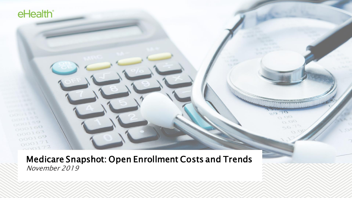Medicare Snapshot: Open Enrollment Costs and Trends November 2019

o or  $O<sub>2</sub>$ 

 $K_{\rm tot}$ 

eHealth<sup>®</sup>

 $000100$ 

 $000163$  $000169$  $000171$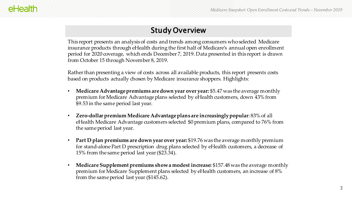## Study Overview

This report presents an analysis of costs and trends among consumers who selected Medicare insurance products through eHealth during the first half of Medicare's annual open enrollment period for 2020 coverage, which ends December 7, 2019. Data presented in this report is drawn from October 15 through November 8, 2019.

Rather than presenting a view of costs across all available products, this report presents costs based on products actually chosen by Medicare insurance shoppers. Highlights:

- **Medicare Advantage premiums are down year over year:** \$5.47 was the average monthly premium for Medicare Advantage plans selected by eHealth customers, down 43% from \$9.53 in the same period last year.
- **Zero-dollar premium Medicare Advantage plans are increasingly popular**: 83% of all eHealth Medicare Advantage customers selected \$0 premium plans, compared to 76% from the same period last year.
- **Part D plan premiums are down year over year:** \$19.76 was the average monthly premium for stand-alone Part D prescription drug plans selected by eHealth customers, a decrease of 15% from the same period last year (\$23.34).
- **Medicare Supplement premiums show a modest increase:** \$157.48 was the average monthly premium for Medicare Supplement plans selected by eHealth customers, an increase of 8% from the same period last year (\$145.62).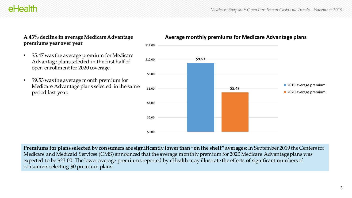#### **A 43% decline in average Medicare Advantage premiums year over year**

- \$5.47 was the average premium for Medicare Advantage plans selected in the first half of open enrollment for 2020 coverage.
- \$9.53 was the average month premium for Medicare Advantage plans selected in the same period last year.

#### **Average monthly premiums for Medicare Advantage plans**

**\$9.53 \$5.47** \$0.00 \$2.00 \$4.00 \$6.00 \$8.00 \$10.00 2019 average premium 2020 average premium

**Premiums for plans selected by consumers are significantly lower than "on the shelf" averages:** In September 2019 the Centers for Medicare and Medicaid Services (CMS) announced that the average monthly premium for 2020 Medicare Advantage plans was expected to be \$23.00. The lower average premiums reported by eHealth may illustrate the effects of significant numbers of consumers selecting \$0 premium plans.

\$12.00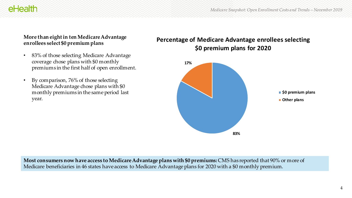#### **More than eight in ten Medicare Advantage enrollees select \$0 premium plans**

eHealth

- 83% of those selecting Medicare Advantage coverage chose plans with \$0 monthly premiums in the first half of open enrollment.
- By comparison, 76% of those selecting Medicare Advantage chose plans with \$0 monthly premiums in the same period last year.

### **Percentage of Medicare Advantage enrollees selecting \$0 premium plans for 2020**



**Most consumers now have access to Medicare Advantage plans with \$0 premiums:** CMS has reported that 90% or more of Medicare beneficiaries in 46 states have access to Medicare Advantage plans for 2020 with a \$0 monthly premium.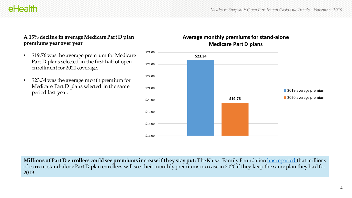## eHealth

#### **A 15% decline in average Medicare Part D plan premiums year over year**

- \$19.76 was the average premium for Medicare Part D plans selected in the first half of open enrollment for 2020 coverage.
- \$23.34 was the average month premium for Medicare Part D plans selected in the same period last year.

#### **Average monthly premiums for stand-alone Medicare Part D plans**



**Millions of Part D enrollees could see premiums increase if they stay put:** The Kaiser Family Foundation [has reported t](https://www.kff.org/medicare/issue-brief/medicare-part-d-a-first-look-at-prescription-drug-plans-in-2020/)hat millions of current stand-alone Part D plan enrollees will see their monthly premiums increase in 2020 if they keep the same plan they had for 2019.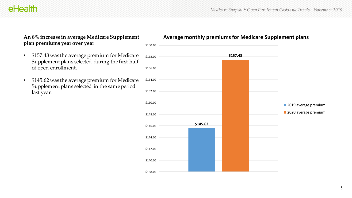## eHealth

#### **An 8% increase in average Medicare Supplement plan premiums year over year**

- \$157.48 was the average premium for Medicare Supplement plans selected during the first half of open enrollment.
- \$145.62 was the average premium for Medicare Supplement plans selected in the same period last year.

#### **Average monthly premiums for Medicare Supplement plans**

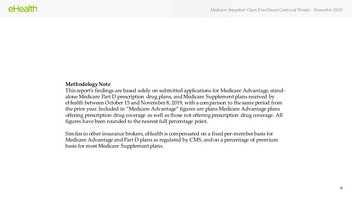#### **Methodology Note**

This report's findings are based solely on submitted applications for Medicare Advantage, standalone Medicare Part D prescription drug plans, and Medicare Supplement plans received by eHealth between October 15 and November 8, 2019, with a comparison to the same period from the prior year. Included in "Medicare Advantage" figures are plans Medicare Advantage plans offering prescription drug coverage as well as those not offering prescription drug coverage. All figures have been rounded to the nearest full percentage point.

Similar to other insurance brokers, eHealth is compensated on a fixed per-member basis for Medicare Advantage and Part D plans as regulated by CMS, and on a percentage of premium basis for most Medicare Supplement plans.